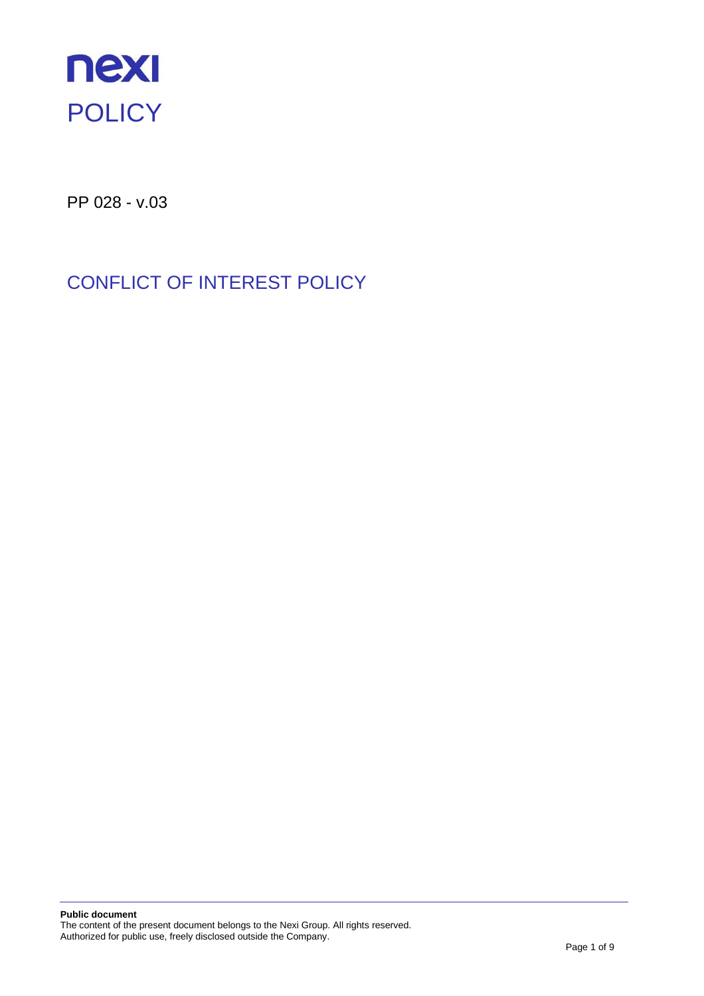

PP 028 - v.03

# CONFLICT OF INTEREST POLICY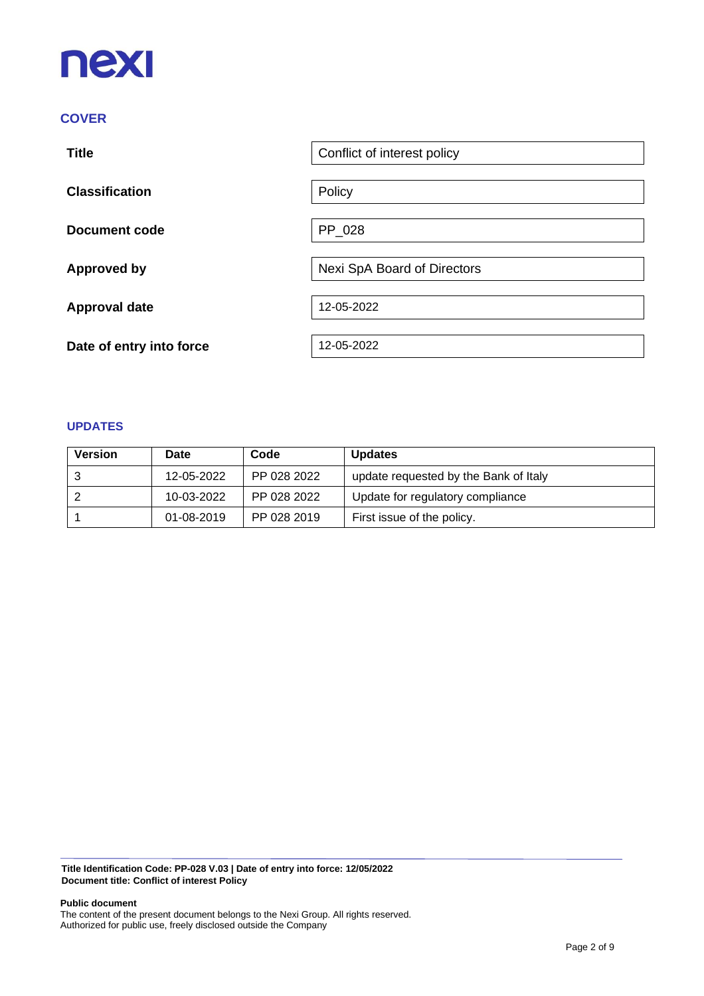# **nexi**

## **COVER**

| <b>Title</b>             | Conflict of interest policy |
|--------------------------|-----------------------------|
| <b>Classification</b>    | Policy                      |
| <b>Document code</b>     | PP_028                      |
| <b>Approved by</b>       | Nexi SpA Board of Directors |
| <b>Approval date</b>     | 12-05-2022                  |
| Date of entry into force | 12-05-2022                  |

#### **UPDATES**

| <b>Version</b> | Date       | Code        | <b>Updates</b>                        |
|----------------|------------|-------------|---------------------------------------|
|                | 12-05-2022 | PP 028 2022 | update requested by the Bank of Italy |
|                | 10-03-2022 | PP 028 2022 | Update for regulatory compliance      |
|                | 01-08-2019 | PP 028 2019 | First issue of the policy.            |

**Title Identification Code: PP-028 V.03 | Date of entry into force: 12/05/2022 Document title: Conflict of interest Policy**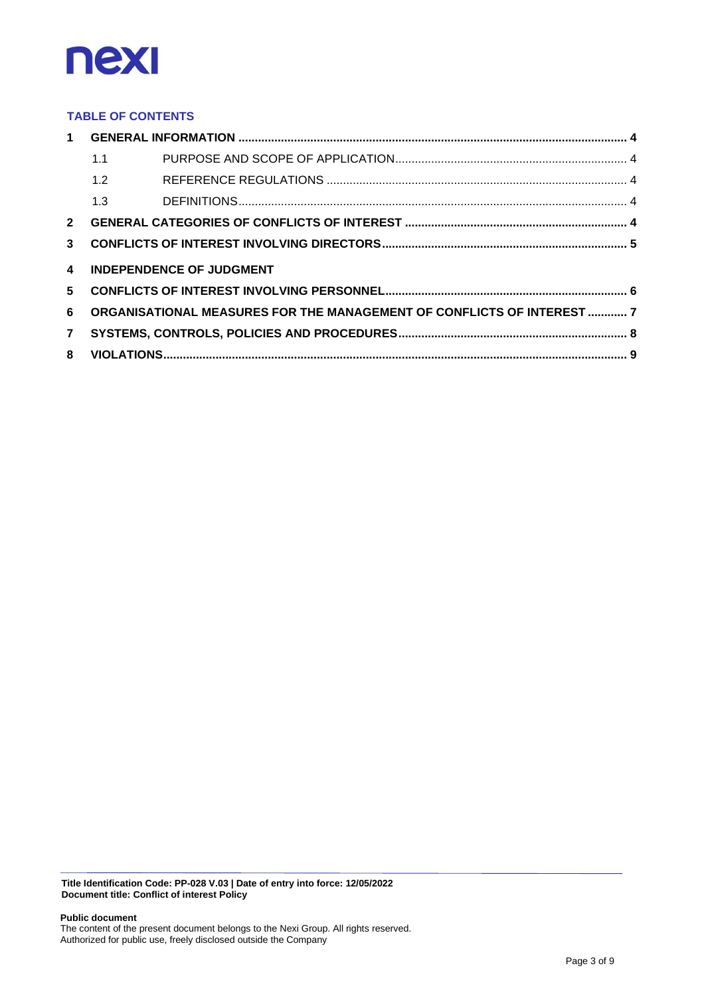

#### **TABLE OF CONTENTS**

|                         | 1.1 |                                                                        |  |
|-------------------------|-----|------------------------------------------------------------------------|--|
|                         | 1.2 |                                                                        |  |
|                         | 1.3 |                                                                        |  |
| $2^{\circ}$             |     |                                                                        |  |
| $\mathbf{3}$            |     |                                                                        |  |
| $\overline{\mathbf{4}}$ |     | <b>INDEPENDENCE OF JUDGMENT</b>                                        |  |
|                         |     |                                                                        |  |
| 5                       |     |                                                                        |  |
| 6                       |     | ORGANISATIONAL MEASURES FOR THE MANAGEMENT OF CONFLICTS OF INTEREST  7 |  |
| $\overline{7}$          |     |                                                                        |  |

**Title Identification Code: PP-028 V.03 | Date of entry into force: 12/05/2022 Document title: Conflict of interest Policy**

**Public document**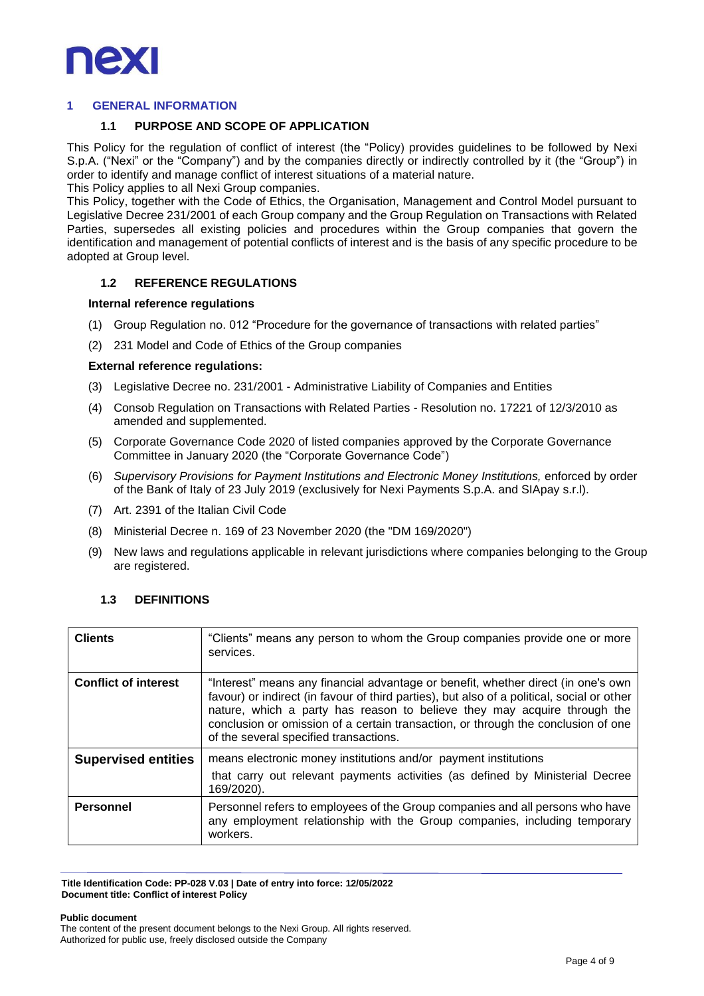

#### <span id="page-3-1"></span><span id="page-3-0"></span>**1 GENERAL INFORMATION**

#### **1.1 PURPOSE AND SCOPE OF APPLICATION**

This Policy for the regulation of conflict of interest (the "Policy) provides guidelines to be followed by Nexi S.p.A. ("Nexi" or the "Company") and by the companies directly or indirectly controlled by it (the "Group") in order to identify and manage conflict of interest situations of a material nature.

This Policy applies to all Nexi Group companies.

This Policy, together with the Code of Ethics, the Organisation, Management and Control Model pursuant to Legislative Decree 231/2001 of each Group company and the Group Regulation on Transactions with Related Parties, supersedes all existing policies and procedures within the Group companies that govern the identification and management of potential conflicts of interest and is the basis of any specific procedure to be adopted at Group level.

#### **1.2 REFERENCE REGULATIONS**

#### **Internal reference regulations**

- (1) Group Regulation no. 012 "Procedure for the governance of transactions with related parties"
- (2) 231 Model and Code of Ethics of the Group companies

#### **External reference regulations:**

- (3) Legislative Decree no. 231/2001 Administrative Liability of Companies and Entities
- (4) Consob Regulation on Transactions with Related Parties Resolution no. 17221 of 12/3/2010 as amended and supplemented.
- (5) Corporate Governance Code 2020 of listed companies approved by the Corporate Governance Committee in January 2020 (the "Corporate Governance Code")
- (6) *Supervisory Provisions for Payment Institutions and Electronic Money Institutions, enforced by order* of the Bank of Italy of 23 July 2019 (exclusively for Nexi Payments S.p.A. and SIApay s.r.l).
- (7) Art. 2391 of the Italian Civil Code
- (8) Ministerial Decree n. 169 of 23 November 2020 (the "DM 169/2020")
- (9) New laws and regulations applicable in relevant jurisdictions where companies belonging to the Group are registered.

#### **1.3 DEFINITIONS**

<span id="page-3-2"></span>

| <b>Clients</b>              | "Clients" means any person to whom the Group companies provide one or more<br>services.                                                                                                                                                                                                                                                                                                    |  |
|-----------------------------|--------------------------------------------------------------------------------------------------------------------------------------------------------------------------------------------------------------------------------------------------------------------------------------------------------------------------------------------------------------------------------------------|--|
| <b>Conflict of interest</b> | "Interest" means any financial advantage or benefit, whether direct (in one's own<br>favour) or indirect (in favour of third parties), but also of a political, social or other<br>nature, which a party has reason to believe they may acquire through the<br>conclusion or omission of a certain transaction, or through the conclusion of one<br>of the several specified transactions. |  |
| <b>Supervised entities</b>  | means electronic money institutions and/or payment institutions<br>that carry out relevant payments activities (as defined by Ministerial Decree<br>169/2020).                                                                                                                                                                                                                             |  |
| <b>Personnel</b>            | Personnel refers to employees of the Group companies and all persons who have<br>any employment relationship with the Group companies, including temporary<br>workers.                                                                                                                                                                                                                     |  |

**Title Identification Code: PP-028 V.03 | Date of entry into force: 12/05/2022 Document title: Conflict of interest Policy**

**Public document**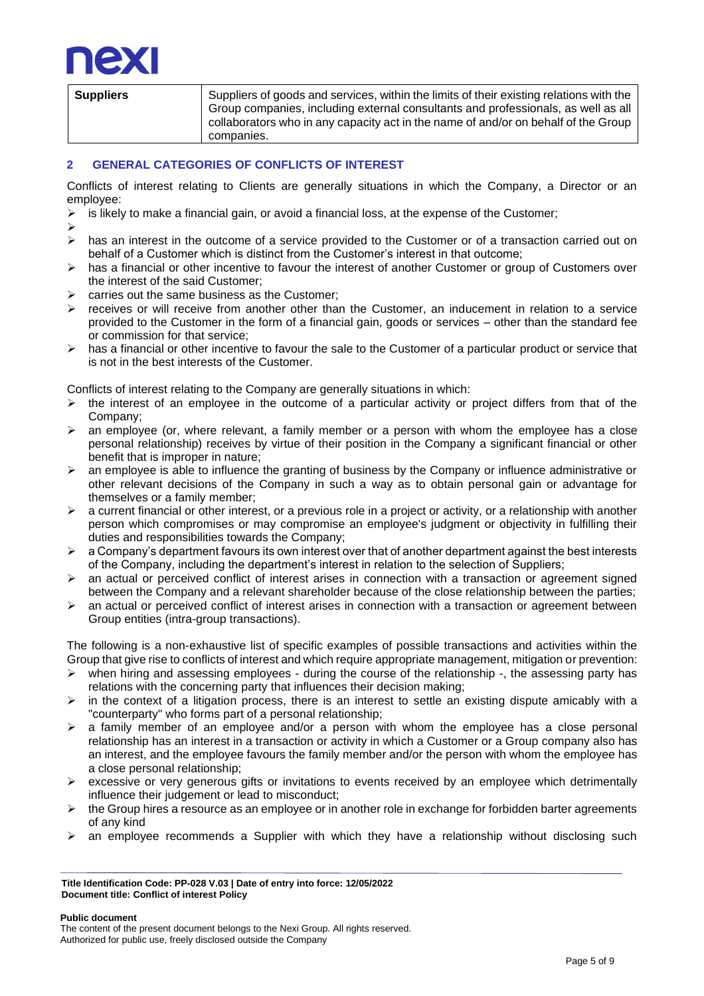

| <b>Suppliers</b> | Suppliers of goods and services, within the limits of their existing relations with the              |
|------------------|------------------------------------------------------------------------------------------------------|
|                  | Group companies, including external consultants and professionals, as well as all                    |
|                  | $\,$ collaborators who in any capacity act in the name of and/or on behalf of the Group $\, \mid \,$ |
|                  | companies.                                                                                           |

### <span id="page-4-0"></span>**2 GENERAL CATEGORIES OF CONFLICTS OF INTEREST**

Conflicts of interest relating to Clients are generally situations in which the Company, a Director or an employee:<br>> is likely

- is likely to make a financial gain, or avoid a financial loss, at the expense of the Customer;
- ➢
- ➢ has an interest in the outcome of a service provided to the Customer or of a transaction carried out on behalf of a Customer which is distinct from the Customer's interest in that outcome;
- $\triangleright$  has a financial or other incentive to favour the interest of another Customer or group of Customers over the interest of the said Customer;
- $\triangleright$  carries out the same business as the Customer:
- $\triangleright$  receives or will receive from another other than the Customer, an inducement in relation to a service provided to the Customer in the form of a financial gain, goods or services – other than the standard fee or commission for that service;
- $\triangleright$  has a financial or other incentive to favour the sale to the Customer of a particular product or service that is not in the best interests of the Customer.

Conflicts of interest relating to the Company are generally situations in which:

- ➢ the interest of an employee in the outcome of a particular activity or project differs from that of the Company;
- $\triangleright$  an employee (or, where relevant, a family member or a person with whom the employee has a close personal relationship) receives by virtue of their position in the Company a significant financial or other benefit that is improper in nature;
- ➢ an employee is able to influence the granting of business by the Company or influence administrative or other relevant decisions of the Company in such a way as to obtain personal gain or advantage for themselves or a family member;
- $\triangleright$  a current financial or other interest, or a previous role in a project or activity, or a relationship with another person which compromises or may compromise an employee's judgment or objectivity in fulfilling their duties and responsibilities towards the Company;
- $\triangleright$  a Company's department favours its own interest over that of another department against the best interests of the Company, including the department's interest in relation to the selection of Suppliers;
- ➢ an actual or perceived conflict of interest arises in connection with a transaction or agreement signed between the Company and a relevant shareholder because of the close relationship between the parties;
- ➢ an actual or perceived conflict of interest arises in connection with a transaction or agreement between Group entities (intra-group transactions).

The following is a non-exhaustive list of specific examples of possible transactions and activities within the Group that give rise to conflicts of interest and which require appropriate management, mitigation or prevention:

- $\triangleright$  when hiring and assessing employees during the course of the relationship -, the assessing party has relations with the concerning party that influences their decision making;
- $\triangleright$  in the context of a litigation process, there is an interest to settle an existing dispute amicably with a "counterparty" who forms part of a personal relationship;
- $\triangleright$  a family member of an employee and/or a person with whom the employee has a close personal relationship has an interest in a transaction or activity in which a Customer or a Group company also has an interest, and the employee favours the family member and/or the person with whom the employee has a close personal relationship;
- ➢ excessive or very generous gifts or invitations to events received by an employee which detrimentally influence their judgement or lead to misconduct;
- $\triangleright$  the Group hires a resource as an employee or in another role in exchange for forbidden barter agreements of any kind
- $\triangleright$  an employee recommends a Supplier with which they have a relationship without disclosing such

**Title Identification Code: PP-028 V.03 | Date of entry into force: 12/05/2022 Document title: Conflict of interest Policy**

#### **Public document**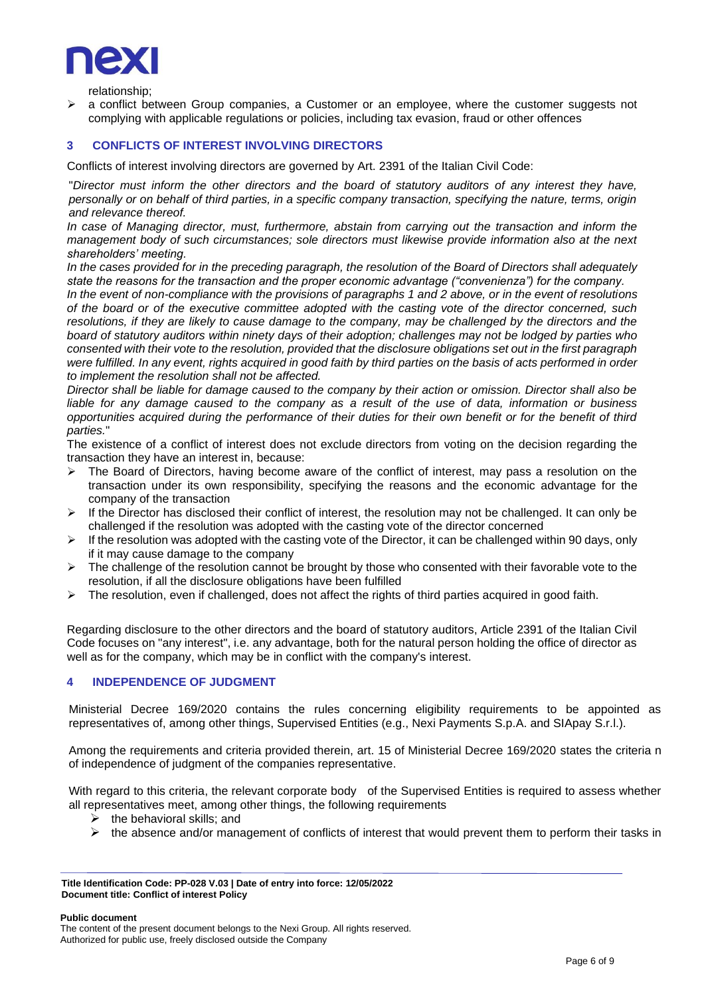

relationship;

 $\triangleright$  a conflict between Group companies, a Customer or an employee, where the customer suggests not complying with applicable regulations or policies, including tax evasion, fraud or other offences

#### <span id="page-5-0"></span>**3 CONFLICTS OF INTEREST INVOLVING DIRECTORS**

Conflicts of interest involving directors are governed by Art. 2391 of the Italian Civil Code:

"*Director must inform the other directors and the board of statutory auditors of any interest they have, personally or on behalf of third parties, in a specific company transaction, specifying the nature, terms, origin and relevance thereof.*

*In case of Managing director, must, furthermore, abstain from carrying out the transaction and inform the management body of such circumstances; sole directors must likewise provide information also at the next shareholders' meeting.*

*In the cases provided for in the preceding paragraph, the resolution of the Board of Directors shall adequately state the reasons for the transaction and the proper economic advantage ("convenienza") for the company.*

*In the event of non-compliance with the provisions of paragraphs 1 and 2 above, or in the event of resolutions of the board or of the executive committee adopted with the casting vote of the director concerned, such resolutions, if they are likely to cause damage to the company, may be challenged by the directors and the board of statutory auditors within ninety days of their adoption; challenges may not be lodged by parties who consented with their vote to the resolution, provided that the disclosure obligations set out in the first paragraph were fulfilled. In any event, rights acquired in good faith by third parties on the basis of acts performed in order to implement the resolution shall not be affected.*

*Director shall be liable for damage caused to the company by their action or omission. Director shall also be liable for any damage caused to the company as a result of the use of data, information or business opportunities acquired during the performance of their duties for their own benefit or for the benefit of third parties.*"

The existence of a conflict of interest does not exclude directors from voting on the decision regarding the transaction they have an interest in, because:

- ➢ The Board of Directors, having become aware of the conflict of interest, may pass a resolution on the transaction under its own responsibility, specifying the reasons and the economic advantage for the company of the transaction
- $\triangleright$  If the Director has disclosed their conflict of interest, the resolution may not be challenged. It can only be challenged if the resolution was adopted with the casting vote of the director concerned
- $\triangleright$  If the resolution was adopted with the casting vote of the Director, it can be challenged within 90 days, only if it may cause damage to the company
- $\triangleright$  The challenge of the resolution cannot be brought by those who consented with their favorable vote to the resolution, if all the disclosure obligations have been fulfilled
- $\triangleright$  The resolution, even if challenged, does not affect the rights of third parties acquired in good faith.

Regarding disclosure to the other directors and the board of statutory auditors, Article 2391 of the Italian Civil Code focuses on "any interest", i.e. any advantage, both for the natural person holding the office of director as well as for the company, which may be in conflict with the company's interest.

#### <span id="page-5-1"></span>**4 INDEPENDENCE OF JUDGMENT**

Ministerial Decree 169/2020 contains the rules concerning eligibility requirements to be appointed as representatives of, among other things, Supervised Entities (e.g., Nexi Payments S.p.A. and SIApay S.r.l.).

Among the requirements and criteria provided therein, art. 15 of Ministerial Decree 169/2020 states the criteria n of independence of judgment of the companies representative.

With regard to this criteria, the relevant corporate body of the Supervised Entities is required to assess whether all representatives meet, among other things, the following requirements

- $\triangleright$  the behavioral skills; and
- $\triangleright$  the absence and/or management of conflicts of interest that would prevent them to perform their tasks in

**Public document** 

**Title Identification Code: PP-028 V.03 | Date of entry into force: 12/05/2022 Document title: Conflict of interest Policy**

The content of the present document belongs to the Nexi Group. All rights reserved. Authorized for public use, freely disclosed outside the Company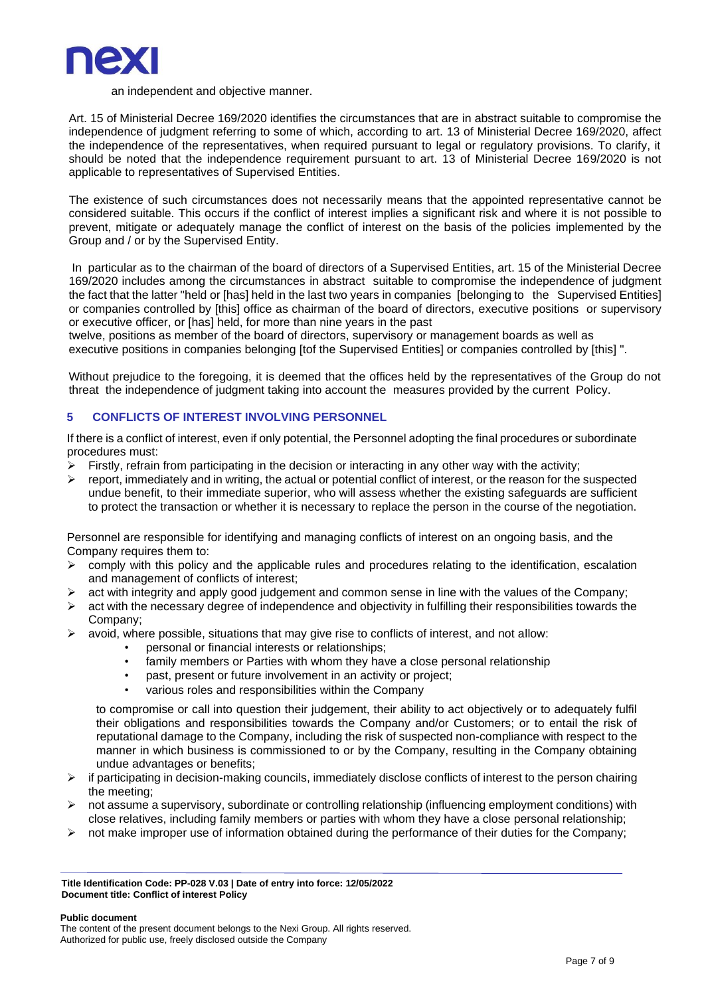

#### an independent and objective manner.

Art. 15 of Ministerial Decree 169/2020 identifies the circumstances that are in abstract suitable to compromise the independence of judgment referring to some of which, according to art. 13 of Ministerial Decree 169/2020, affect the independence of the representatives, when required pursuant to legal or regulatory provisions. To clarify, it should be noted that the independence requirement pursuant to art. 13 of Ministerial Decree 169/2020 is not applicable to representatives of Supervised Entities.

The existence of such circumstances does not necessarily means that the appointed representative cannot be considered suitable. This occurs if the conflict of interest implies a significant risk and where it is not possible to prevent, mitigate or adequately manage the conflict of interest on the basis of the policies implemented by the Group and / or by the Supervised Entity.

In particular as to the chairman of the board of directors of a Supervised Entities, art. 15 of the Ministerial Decree 169/2020 includes among the circumstances in abstract suitable to compromise the independence of judgment the fact that the latter "held or [has] held in the last two years in companies [belonging to the Supervised Entities] or companies controlled by [this] office as chairman of the board of directors, executive positions or supervisory or executive officer, or [has] held, for more than nine years in the past

twelve, positions as member of the board of directors, supervisory or management boards as well as executive positions in companies belonging [tof the Supervised Entities] or companies controlled by [this] ".

Without prejudice to the foregoing, it is deemed that the offices held by the representatives of the Group do not threat the independence of judgment taking into account the measures provided by the current Policy.

#### **5 CONFLICTS OF INTEREST INVOLVING PERSONNEL**

If there is a conflict of interest, even if only potential, the Personnel adopting the final procedures or subordinate procedures must:

- $\triangleright$  Firstly, refrain from participating in the decision or interacting in any other way with the activity;
- $\triangleright$  report, immediately and in writing, the actual or potential conflict of interest, or the reason for the suspected undue benefit, to their immediate superior, who will assess whether the existing safeguards are sufficient to protect the transaction or whether it is necessary to replace the person in the course of the negotiation.

Personnel are responsible for identifying and managing conflicts of interest on an ongoing basis, and the Company requires them to:

- $\triangleright$  comply with this policy and the applicable rules and procedures relating to the identification, escalation and management of conflicts of interest;
- $\triangleright$  act with integrity and apply good judgement and common sense in line with the values of the Company;
- $\triangleright$  act with the necessary degree of independence and objectivity in fulfilling their responsibilities towards the Company;
- $\triangleright$  avoid, where possible, situations that may give rise to conflicts of interest, and not allow:
	- personal or financial interests or relationships;
	- family members or Parties with whom they have a close personal relationship
	- past, present or future involvement in an activity or project;
	- various roles and responsibilities within the Company

to compromise or call into question their judgement, their ability to act objectively or to adequately fulfil their obligations and responsibilities towards the Company and/or Customers; or to entail the risk of reputational damage to the Company, including the risk of suspected non-compliance with respect to the manner in which business is commissioned to or by the Company, resulting in the Company obtaining undue advantages or benefits;

- $\triangleright$  if participating in decision-making councils, immediately disclose conflicts of interest to the person chairing the meeting;
- $\triangleright$  not assume a supervisory, subordinate or controlling relationship (influencing employment conditions) with close relatives, including family members or parties with whom they have a close personal relationship;
- $\triangleright$  not make improper use of information obtained during the performance of their duties for the Company;

**Title Identification Code: PP-028 V.03 | Date of entry into force: 12/05/2022 Document title: Conflict of interest Policy**

#### **Public document**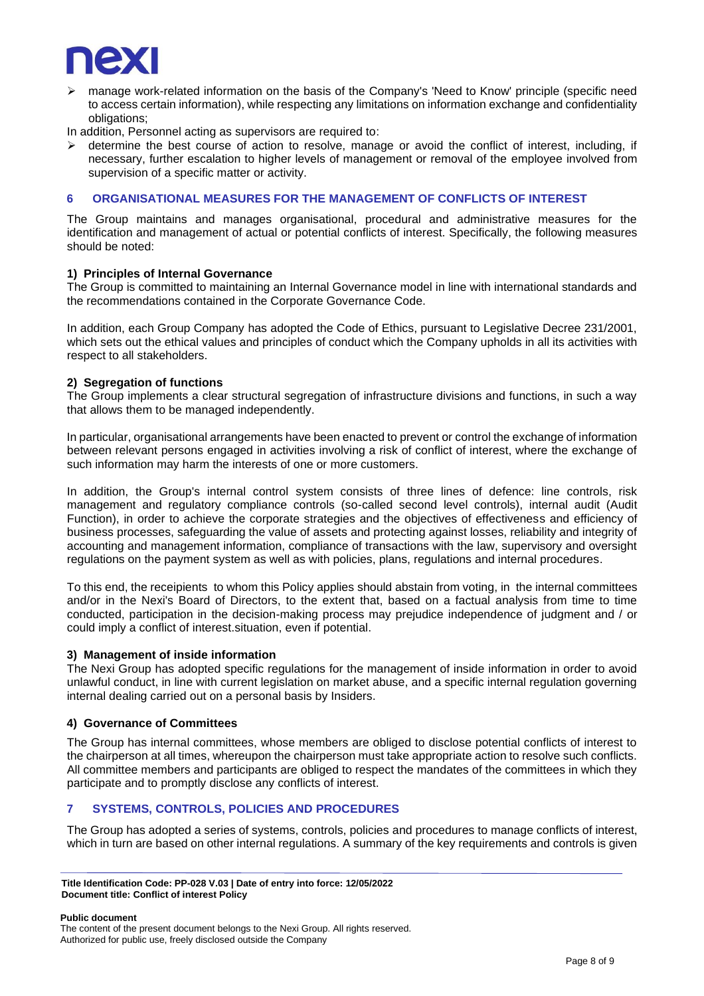

➢ manage work-related information on the basis of the Company's 'Need to Know' principle (specific need to access certain information), while respecting any limitations on information exchange and confidentiality obligations;

In addition, Personnel acting as supervisors are required to:

 $\triangleright$  determine the best course of action to resolve, manage or avoid the conflict of interest, including, if necessary, further escalation to higher levels of management or removal of the employee involved from supervision of a specific matter or activity.

#### <span id="page-7-0"></span>**6 ORGANISATIONAL MEASURES FOR THE MANAGEMENT OF CONFLICTS OF INTEREST**

The Group maintains and manages organisational, procedural and administrative measures for the identification and management of actual or potential conflicts of interest. Specifically, the following measures should be noted:

#### **1) Principles of Internal Governance**

The Group is committed to maintaining an Internal Governance model in line with international standards and the recommendations contained in the Corporate Governance Code.

In addition, each Group Company has adopted the Code of Ethics, pursuant to Legislative Decree 231/2001, which sets out the ethical values and principles of conduct which the Company upholds in all its activities with respect to all stakeholders.

#### **2) Segregation of functions**

The Group implements a clear structural segregation of infrastructure divisions and functions, in such a way that allows them to be managed independently.

In particular, organisational arrangements have been enacted to prevent or control the exchange of information between relevant persons engaged in activities involving a risk of conflict of interest, where the exchange of such information may harm the interests of one or more customers.

In addition, the Group's internal control system consists of three lines of defence: line controls, risk management and regulatory compliance controls (so-called second level controls), internal audit (Audit Function), in order to achieve the corporate strategies and the objectives of effectiveness and efficiency of business processes, safeguarding the value of assets and protecting against losses, reliability and integrity of accounting and management information, compliance of transactions with the law, supervisory and oversight regulations on the payment system as well as with policies, plans, regulations and internal procedures.

To this end, the receipients to whom this Policy applies should abstain from voting, in the internal committees and/or in the Nexi's Board of Directors, to the extent that, based on a factual analysis from time to time conducted, participation in the decision-making process may prejudice independence of judgment and / or could imply a conflict of interest.situation, even if potential.

#### **3) Management of inside information**

The Nexi Group has adopted specific regulations for the management of inside information in order to avoid unlawful conduct, in line with current legislation on market abuse, and a specific internal regulation governing internal dealing carried out on a personal basis by Insiders.

#### **4) Governance of Committees**

The Group has internal committees, whose members are obliged to disclose potential conflicts of interest to the chairperson at all times, whereupon the chairperson must take appropriate action to resolve such conflicts. All committee members and participants are obliged to respect the mandates of the committees in which they participate and to promptly disclose any conflicts of interest.

#### <span id="page-7-1"></span>**7 SYSTEMS, CONTROLS, POLICIES AND PROCEDURES**

The Group has adopted a series of systems, controls, policies and procedures to manage conflicts of interest, which in turn are based on other internal regulations. A summary of the key requirements and controls is given

**Public document** 

**Title Identification Code: PP-028 V.03 | Date of entry into force: 12/05/2022 Document title: Conflict of interest Policy**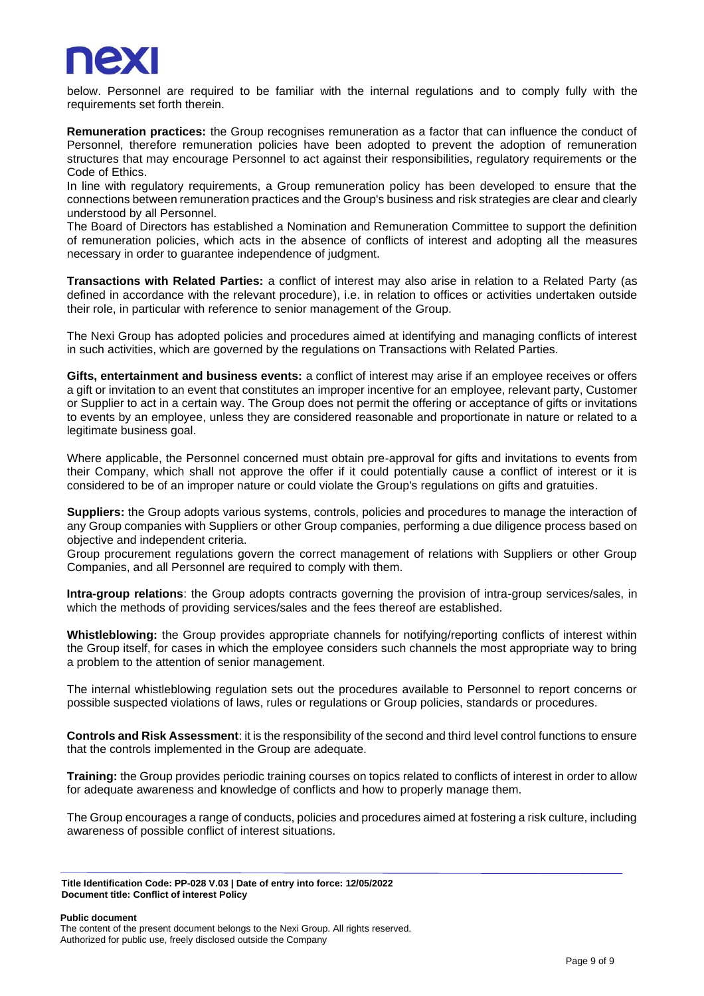

below. Personnel are required to be familiar with the internal regulations and to comply fully with the requirements set forth therein.

**Remuneration practices:** the Group recognises remuneration as a factor that can influence the conduct of Personnel, therefore remuneration policies have been adopted to prevent the adoption of remuneration structures that may encourage Personnel to act against their responsibilities, regulatory requirements or the Code of Ethics.

In line with regulatory requirements, a Group remuneration policy has been developed to ensure that the connections between remuneration practices and the Group's business and risk strategies are clear and clearly understood by all Personnel.

The Board of Directors has established a Nomination and Remuneration Committee to support the definition of remuneration policies, which acts in the absence of conflicts of interest and adopting all the measures necessary in order to guarantee independence of judgment.

**Transactions with Related Parties:** a conflict of interest may also arise in relation to a Related Party (as defined in accordance with the relevant procedure), i.e. in relation to offices or activities undertaken outside their role, in particular with reference to senior management of the Group.

The Nexi Group has adopted policies and procedures aimed at identifying and managing conflicts of interest in such activities, which are governed by the regulations on Transactions with Related Parties.

**Gifts, entertainment and business events:** a conflict of interest may arise if an employee receives or offers a gift or invitation to an event that constitutes an improper incentive for an employee, relevant party, Customer or Supplier to act in a certain way. The Group does not permit the offering or acceptance of gifts or invitations to events by an employee, unless they are considered reasonable and proportionate in nature or related to a legitimate business goal.

Where applicable, the Personnel concerned must obtain pre-approval for gifts and invitations to events from their Company, which shall not approve the offer if it could potentially cause a conflict of interest or it is considered to be of an improper nature or could violate the Group's regulations on gifts and gratuities.

**Suppliers:** the Group adopts various systems, controls, policies and procedures to manage the interaction of any Group companies with Suppliers or other Group companies, performing a due diligence process based on objective and independent criteria.

Group procurement regulations govern the correct management of relations with Suppliers or other Group Companies, and all Personnel are required to comply with them.

**Intra-group relations**: the Group adopts contracts governing the provision of intra-group services/sales, in which the methods of providing services/sales and the fees thereof are established.

**Whistleblowing:** the Group provides appropriate channels for notifying/reporting conflicts of interest within the Group itself, for cases in which the employee considers such channels the most appropriate way to bring a problem to the attention of senior management.

The internal whistleblowing regulation sets out the procedures available to Personnel to report concerns or possible suspected violations of laws, rules or regulations or Group policies, standards or procedures.

**Controls and Risk Assessment**: it is the responsibility of the second and third level control functions to ensure that the controls implemented in the Group are adequate.

**Training:** the Group provides periodic training courses on topics related to conflicts of interest in order to allow for adequate awareness and knowledge of conflicts and how to properly manage them.

The Group encourages a range of conducts, policies and procedures aimed at fostering a risk culture, including awareness of possible conflict of interest situations.

**Public document** 

**Title Identification Code: PP-028 V.03 | Date of entry into force: 12/05/2022 Document title: Conflict of interest Policy**

The content of the present document belongs to the Nexi Group. All rights reserved. Authorized for public use, freely disclosed outside the Company